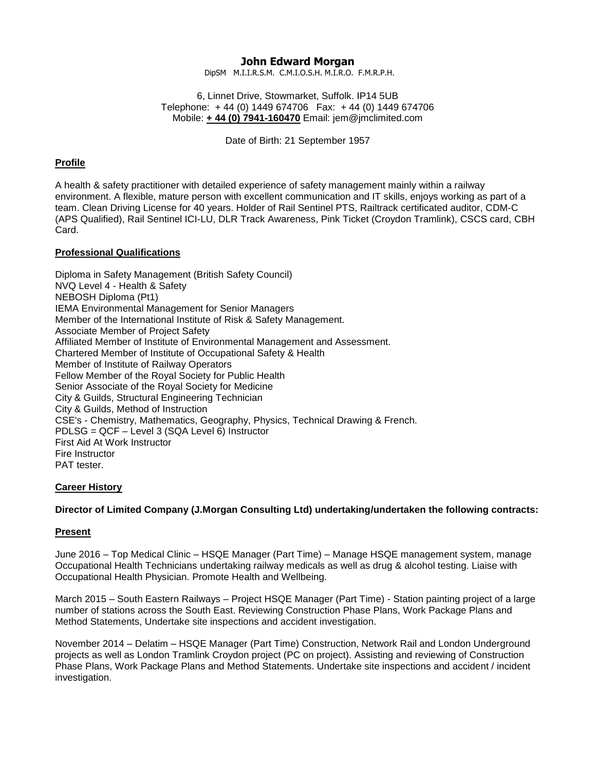# **John Edward Morgan**

DipSM M.I.I.R.S.M. C.M.I.O.S.H. M.I.R.O. F.M.R.P.H.

6, Linnet Drive, Stowmarket, Suffolk. IP14 5UB Telephone: + 44 (0) 1449 674706 Fax: + 44 (0) 1449 674706 Mobile: **+ 44 (0) 7941-160470** Email: jem@jmclimited.com

Date of Birth: 21 September 1957

## **Profile**

A health & safety practitioner with detailed experience of safety management mainly within a railway environment. A flexible, mature person with excellent communication and IT skills, enjoys working as part of a team. Clean Driving License for 40 years. Holder of Rail Sentinel PTS, Railtrack certificated auditor, CDM-C (APS Qualified), Rail Sentinel ICI-LU, DLR Track Awareness, Pink Ticket (Croydon Tramlink), CSCS card, CBH Card.

#### **Professional Qualifications**

Diploma in Safety Management (British Safety Council) NVQ Level 4 - Health & Safety NEBOSH Diploma (Pt1) IEMA Environmental Management for Senior Managers Member of the International Institute of Risk & Safety Management. Associate Member of Project Safety Affiliated Member of Institute of Environmental Management and Assessment. Chartered Member of Institute of Occupational Safety & Health Member of Institute of Railway Operators Fellow Member of the Royal Society for Public Health Senior Associate of the Royal Society for Medicine City & Guilds, Structural Engineering Technician City & Guilds, Method of Instruction CSE's - Chemistry, Mathematics, Geography, Physics, Technical Drawing & French. PDLSG = QCF – Level 3 (SQA Level 6) Instructor First Aid At Work Instructor Fire Instructor PAT tester.

#### **Career History**

#### **Director of Limited Company (J.Morgan Consulting Ltd) undertaking/undertaken the following contracts:**

## **Present**

June 2016 – Top Medical Clinic – HSQE Manager (Part Time) – Manage HSQE management system, manage Occupational Health Technicians undertaking railway medicals as well as drug & alcohol testing. Liaise with Occupational Health Physician. Promote Health and Wellbeing.

March 2015 – South Eastern Railways – Project HSQE Manager (Part Time) - Station painting project of a large number of stations across the South East. Reviewing Construction Phase Plans, Work Package Plans and Method Statements, Undertake site inspections and accident investigation.

November 2014 – Delatim – HSQE Manager (Part Time) Construction, Network Rail and London Underground projects as well as London Tramlink Croydon project (PC on project). Assisting and reviewing of Construction Phase Plans, Work Package Plans and Method Statements. Undertake site inspections and accident / incident investigation.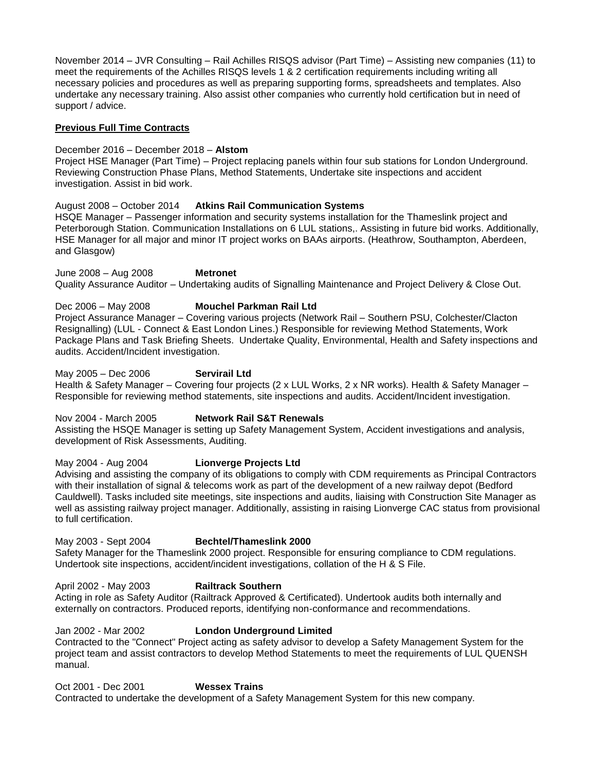November 2014 – JVR Consulting – Rail Achilles RISQS advisor (Part Time) – Assisting new companies (11) to meet the requirements of the Achilles RISQS levels 1 & 2 certification requirements including writing all necessary policies and procedures as well as preparing supporting forms, spreadsheets and templates. Also undertake any necessary training. Also assist other companies who currently hold certification but in need of support / advice.

## **Previous Full Time Contracts**

### December 2016 – December 2018 – **Alstom**

Project HSE Manager (Part Time) – Project replacing panels within four sub stations for London Underground. Reviewing Construction Phase Plans, Method Statements, Undertake site inspections and accident investigation. Assist in bid work.

## August 2008 – October 2014 **Atkins Rail Communication Systems**

HSQE Manager – Passenger information and security systems installation for the Thameslink project and Peterborough Station. Communication Installations on 6 LUL stations,. Assisting in future bid works. Additionally, HSE Manager for all major and minor IT project works on BAAs airports. (Heathrow, Southampton, Aberdeen, and Glasgow)

June 2008 – Aug 2008 **Metronet** Quality Assurance Auditor – Undertaking audits of Signalling Maintenance and Project Delivery & Close Out.

## Dec 2006 – May 2008 **Mouchel Parkman Rail Ltd**

Project Assurance Manager – Covering various projects (Network Rail – Southern PSU, Colchester/Clacton Resignalling) (LUL - Connect & East London Lines.) Responsible for reviewing Method Statements, Work Package Plans and Task Briefing Sheets. Undertake Quality, Environmental, Health and Safety inspections and audits. Accident/Incident investigation.

May 2005 – Dec 2006 **Servirail Ltd** 

Health & Safety Manager – Covering four projects (2 x LUL Works, 2 x NR works). Health & Safety Manager – Responsible for reviewing method statements, site inspections and audits. Accident/Incident investigation.

Nov 2004 - March 2005 **Network Rail S&T Renewals** 

Assisting the HSQE Manager is setting up Safety Management System, Accident investigations and analysis, development of Risk Assessments, Auditing.

May 2004 - Aug 2004 **Lionverge Projects Ltd**

Advising and assisting the company of its obligations to comply with CDM requirements as Principal Contractors with their installation of signal & telecoms work as part of the development of a new railway depot (Bedford Cauldwell). Tasks included site meetings, site inspections and audits, liaising with Construction Site Manager as well as assisting railway project manager. Additionally, assisting in raising Lionverge CAC status from provisional to full certification.

## May 2003 - Sept 2004 **Bechtel/Thameslink 2000**

Safety Manager for the Thameslink 2000 project. Responsible for ensuring compliance to CDM regulations. Undertook site inspections, accident/incident investigations, collation of the H & S File.

## April 2002 - May 2003 **Railtrack Southern**

Acting in role as Safety Auditor (Railtrack Approved & Certificated). Undertook audits both internally and externally on contractors. Produced reports, identifying non-conformance and recommendations.

## Jan 2002 - Mar 2002 **London Underground Limited**

Contracted to the "Connect" Project acting as safety advisor to develop a Safety Management System for the project team and assist contractors to develop Method Statements to meet the requirements of LUL QUENSH manual.

## Oct 2001 - Dec 2001 **Wessex Trains**

Contracted to undertake the development of a Safety Management System for this new company.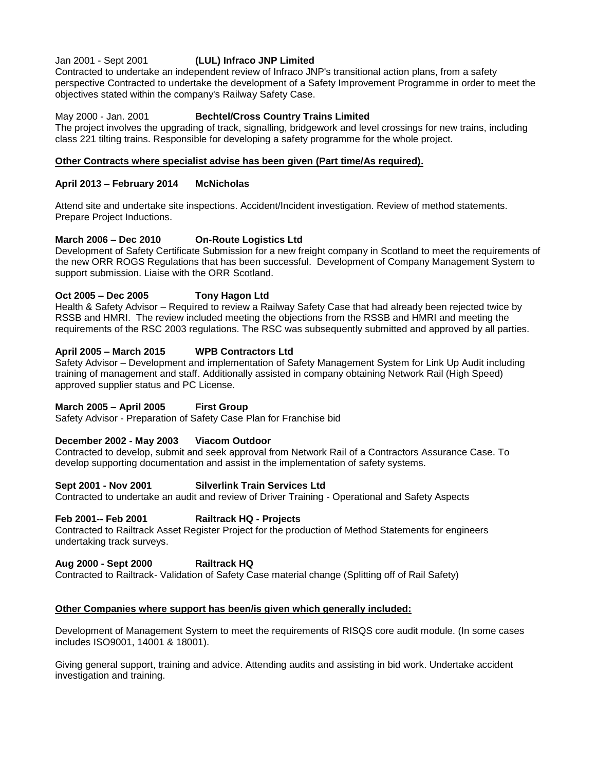### Jan 2001 - Sept 2001 **(LUL) Infraco JNP Limited**

Contracted to undertake an independent review of Infraco JNP's transitional action plans, from a safety perspective Contracted to undertake the development of a Safety Improvement Programme in order to meet the objectives stated within the company's Railway Safety Case.

## May 2000 - Jan. 2001 **Bechtel/Cross Country Trains Limited**

The project involves the upgrading of track, signalling, bridgework and level crossings for new trains, including class 221 tilting trains. Responsible for developing a safety programme for the whole project.

#### **Other Contracts where specialist advise has been given (Part time/As required).**

### **April 2013 – February 2014 McNicholas**

Attend site and undertake site inspections. Accident/Incident investigation. Review of method statements. Prepare Project Inductions.

## **March 2006 – Dec 2010 On-Route Logistics Ltd**

Development of Safety Certificate Submission for a new freight company in Scotland to meet the requirements of the new ORR ROGS Regulations that has been successful. Development of Company Management System to support submission. Liaise with the ORR Scotland.

## **Oct 2005 – Dec 2005 Tony Hagon Ltd**

Health & Safety Advisor – Required to review a Railway Safety Case that had already been rejected twice by RSSB and HMRI. The review included meeting the objections from the RSSB and HMRI and meeting the requirements of the RSC 2003 regulations. The RSC was subsequently submitted and approved by all parties.

## **April 2005 – March 2015 WPB Contractors Ltd**

Safety Advisor – Development and implementation of Safety Management System for Link Up Audit including training of management and staff. Additionally assisted in company obtaining Network Rail (High Speed) approved supplier status and PC License.

#### **March 2005 – April 2005 First Group**

Safety Advisor - Preparation of Safety Case Plan for Franchise bid

#### **December 2002 - May 2003 Viacom Outdoor**

Contracted to develop, submit and seek approval from Network Rail of a Contractors Assurance Case. To develop supporting documentation and assist in the implementation of safety systems.

#### **Sept 2001 - Nov 2001 Silverlink Train Services Ltd**

Contracted to undertake an audit and review of Driver Training - Operational and Safety Aspects

#### **Feb 2001-- Feb 2001 Railtrack HQ - Projects**

Contracted to Railtrack Asset Register Project for the production of Method Statements for engineers undertaking track surveys.

#### **Aug 2000 - Sept 2000 Railtrack HQ**

Contracted to Railtrack- Validation of Safety Case material change (Splitting off of Rail Safety)

#### **Other Companies where support has been/is given which generally included:**

Development of Management System to meet the requirements of RISQS core audit module. (In some cases includes ISO9001, 14001 & 18001).

Giving general support, training and advice. Attending audits and assisting in bid work. Undertake accident investigation and training.